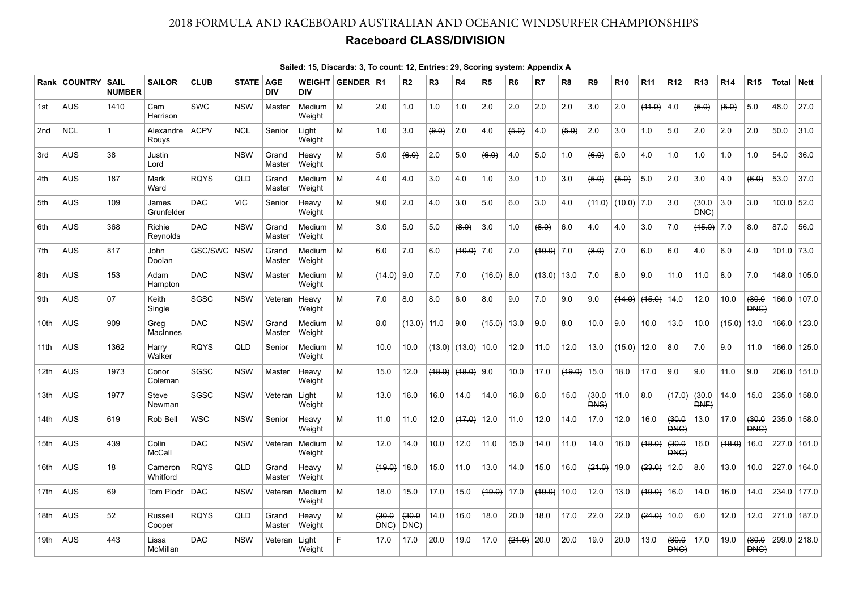## 2018 FORMULA AND RACEBOARD AUSTRALIAN AND OCEANIC WINDSURFER CHAMPIONSHIPS

## Raceboard CLASS/DIVISION

|                  | <b>Rank COUNTRY</b> | <b>SAIL</b><br><b>NUMBER</b> | <b>SAILOR</b>       | <b>CLUB</b> | <b>STATE   AGE</b> | <b>DIV</b>      | <b>DIV</b>       | WEIGHT GENDER   R1 |                      | R <sub>2</sub>       | R <sub>3</sub> | R4           | R5           | R <sub>6</sub> | R7            | R8     | R9                   | <b>R10</b>   | R <sub>11</sub> | R <sub>12</sub> | <b>R13</b>           | <b>R14</b> | <b>R15</b>           | Total      | <b>Nett</b> |
|------------------|---------------------|------------------------------|---------------------|-------------|--------------------|-----------------|------------------|--------------------|----------------------|----------------------|----------------|--------------|--------------|----------------|---------------|--------|----------------------|--------------|-----------------|-----------------|----------------------|------------|----------------------|------------|-------------|
| 1st              | <b>AUS</b>          | 1410                         | Cam<br>Harrison     | SWC         | <b>NSW</b>         | Master          | Medium<br>Weight | M                  | 2.0                  | 1.0                  | 1.0            | 1.0          | 2.0          | 2.0            | 2.0           | 2.0    | 3.0                  | 2.0          | (44.0)          | 4.0             | (5.0)                | (5.0)      | 5.0                  | 48.0       | 27.0        |
| 2nd              | <b>NCL</b>          | $\mathbf{1}$                 | Alexandre<br>Rouys  | <b>ACPV</b> | <b>NCL</b>         | Senior          | Light<br>Weight  | М                  | 1.0                  | 3.0                  | (9.0)          | 2.0          | 4.0          | (5.0)          | 4.0           | (5.0)  | 2.0                  | 3.0          | 1.0             | 5.0             | 2.0                  | 2.0        | 2.0                  | 50.0       | 31.0        |
| 3rd              | <b>AUS</b>          | 38                           | Justin<br>Lord      |             | <b>NSW</b>         | Grand<br>Master | Heavy<br>Weight  | М                  | 5.0                  | (6.0)                | 2.0            | 5.0          | (6.0)        | 4.0            | 5.0           | 1.0    | (6.0)                | 6.0          | 4.0             | 1.0             | 1.0                  | 1.0        | 1.0                  | 54.0       | 36.0        |
| 4th              | <b>AUS</b>          | 187                          | Mark<br>Ward        | <b>RQYS</b> | QLD                | Grand<br>Master | Medium<br>Weight | M                  | 4.0                  | 4.0                  | 3.0            | 4.0          | 1.0          | 3.0            | 1.0           | 3.0    | (5.0)                | (5.0)        | 5.0             | 2.0             | 3.0                  | 4.0        | (6.0)                | 53.0       | 37.0        |
| 5th              | <b>AUS</b>          | 109                          | James<br>Grunfelder | <b>DAC</b>  | VIC                | Senior          | Heavy<br>Weight  | м                  | 9.0                  | 2.0                  | 4.0            | 3.0          | 5.0          | 6.0            | 3.0           | 4.0    | (44.0)               | $(10.0)$ 7.0 |                 | 3.0             | (30.0)<br><b>DNG</b> | 3.0        | 3.0                  | 103.0      | 52.0        |
| 6th              | <b>AUS</b>          | 368                          | Richie<br>Reynolds  | <b>DAC</b>  | <b>NSW</b>         | Grand<br>Master | Medium<br>Weight | M                  | 3.0                  | 5.0                  | 5.0            | (8.0)        | 3.0          | 1.0            | (8.0)         | 6.0    | 4.0                  | 4.0          | 3.0             | 7.0             | $(15.0)$ 7.0         |            | 8.0                  | 87.0       | 56.0        |
| 7th              | <b>AUS</b>          | 817                          | John<br>Doolan      | GSC/SWC     | <b>NSW</b>         | Grand<br>Master | Medium<br>Weight | M                  | 6.0                  | 7.0                  | 6.0            | $(10.0)$ 7.0 |              | 7.0            | $(10.0)$ 7.0  |        | (8.0)                | 7.0          | 6.0             | 6.0             | 4.0                  | 6.0        | 4.0                  | 101.0 73.0 |             |
| 8th              | <b>AUS</b>          | 153                          | Adam<br>Hampton     | <b>DAC</b>  | <b>NSW</b>         | Master          | Medium<br>Weight | M                  | $(14.0)$ 9.0         |                      | 7.0            | 7.0          | $(16.0)$ 8.0 |                | $(13.0)$ 13.0 |        | 7.0                  | 8.0          | 9.0             | 11.0            | 11.0                 | 8.0        | 7.0                  | 148.0      | 105.0       |
| 9th              | AUS                 | 07                           | Keith<br>Single     | SGSC        | <b>NSW</b>         | Veteran         | Heavy<br>Weiaht  | м                  | 7.0                  | 8.0                  | 8.0            | 6.0          | 8.0          | 9.0            | 7.0           | 9.0    | 9.0                  | (14.0)       | (15.0)          | 14.0            | 12.0                 | 10.0       | (30.0)<br><b>DNG</b> | 166.0      | 107.0       |
| 10th             | <b>AUS</b>          | 909                          | Greg<br>MacInnes    | <b>DAC</b>  | <b>NSW</b>         | Grand<br>Master | Medium<br>Weight | м                  | 8.0                  | $(13.0)$ 11.0        |                | 9.0          | (15.0)       | 13.0           | 9.0           | 8.0    | 10.0                 | 9.0          | 10.0            | 13.0            | 10.0                 | (15.0)     | 13.0                 | 166.0      | 123.0       |
| 11th             | <b>AUS</b>          | 1362                         | Harry<br>Walker     | <b>RQYS</b> | QLD                | Senior          | Medium<br>Weight | M                  | 10.0                 | 10.0                 | (13.0)         | (13.0)       | 10.0         | 12.0           | 11.0          | 12.0   | 13.0                 | (15.0)       | 12.0            | 8.0             | 7.0                  | 9.0        | 11.0                 | 166.0      | 125.0       |
| 12 <sub>th</sub> | <b>AUS</b>          | 1973                         | Conor<br>Coleman    | SGSC        | <b>NSW</b>         | Master          | Heavy<br>Weiaht  | м                  | 15.0                 | 12.0                 | (18.0)         | (48.0)       | 9.0          | 10.0           | 17.0          | (19.0) | 15.0                 | 18.0         | 17.0            | 9.0             | 9.0                  | 11.0       | 9.0                  | 206.0      | 151.0       |
| 13 <sub>th</sub> | <b>AUS</b>          | 1977                         | Steve<br>Newman     | SGSC        | <b>NSW</b>         | Veteran         | Light<br>Weight  | м                  | 13.0                 | 16.0                 | 16.0           | 14.0         | 14.0         | 16.0           | 6.0           | 15.0   | (30.0)<br><b>DNS</b> | 11.0         | 8.0             | (17.0)          | (30.0)<br>DNF        | 14.0       | 15.0                 | 235.0      | 158.0       |
| 14 <sub>th</sub> | <b>AUS</b>          | 619                          | Rob Bell            | <b>WSC</b>  | <b>NSW</b>         | Senior          | Heavy<br>Weight  | М                  | 11.0                 | 11.0                 | 12.0           | (47.0)       | 12.0         | 11.0           | 12.0          | 14.0   | 17.0                 | 12.0         | 16.0            | (30.0)<br>DNG)  | 13.0                 | 17.0       | (30.0)<br>DNG)       | 235.0      | 158.0       |
| 15th             | <b>AUS</b>          | 439                          | Colin<br>McCall     | <b>DAC</b>  | <b>NSW</b>         | Veteran         | Medium<br>Weight | M                  | 12.0                 | 14.0                 | 10.0           | 12.0         | 11.0         | 15.0           | 14.0          | 11.0   | 14.0                 | 16.0         | (18.0)          | 430.0<br>DNG)   | 16.0                 | (18.0)     | 16.0                 | 227.0      | 161.0       |
| 16th             | <b>AUS</b>          | 18                           | Cameron<br>Whitford | <b>RQYS</b> | QLD                | Grand<br>Master | Heavy<br>Weight  | м                  | (19.0)               | 18.0                 | 15.0           | 11.0         | 13.0         | 14.0           | 15.0          | 16.0   | (21.0)               | 19.0         | (23.0)          | 12.0            | 8.0                  | 13.0       | 10.0                 | 227.0      | 164.0       |
| 17th             | <b>AUS</b>          | 69                           | <b>Tom Plodr</b>    | <b>DAC</b>  | <b>NSW</b>         | Veteran         | Medium<br>Weight | м                  | 18.0                 | 15.0                 | 17.0           | 15.0         | (19.0)       | 17.0           | (19.0)        | 10.0   | 12.0                 | 13.0         | (19.0)          | 16.0            | 14.0                 | 16.0       | 14.0                 | 234.0      | 177.0       |
| 18 <sub>th</sub> | <b>AUS</b>          | 52                           | Russell<br>Cooper   | <b>RQYS</b> | QLD                | Grand<br>Master | Heavy<br>Weight  | м                  | (30.0)<br><b>DNG</b> | (30.0)<br><b>DNG</b> | 14.0           | 16.0         | 18.0         | 20.0           | 18.0          | 17.0   | 22.0                 | 22.0         | (24.0)          | 10.0            | 6.0                  | 12.0       | 12.0                 | 271.0      | 187.0       |
| 19 <sub>th</sub> | <b>AUS</b>          | 443                          | Lissa<br>McMillan   | <b>DAC</b>  | <b>NSW</b>         | Veteran         | Light<br>Weight  |                    | 17.0                 | 17.0                 | 20.0           | 19.0         | 17.0         | (21.0)         | 20.0          | 20.0   | 19.0                 | 20.0         | 13.0            | (30.0)<br>DNG)  | 17.0                 | 19.0       | (30.0)<br>DNG)       |            | 299.0 218.0 |

## Sailed: 15, Discards: 3, To count: 12, Entries: 29, Scoring system: Appendix A